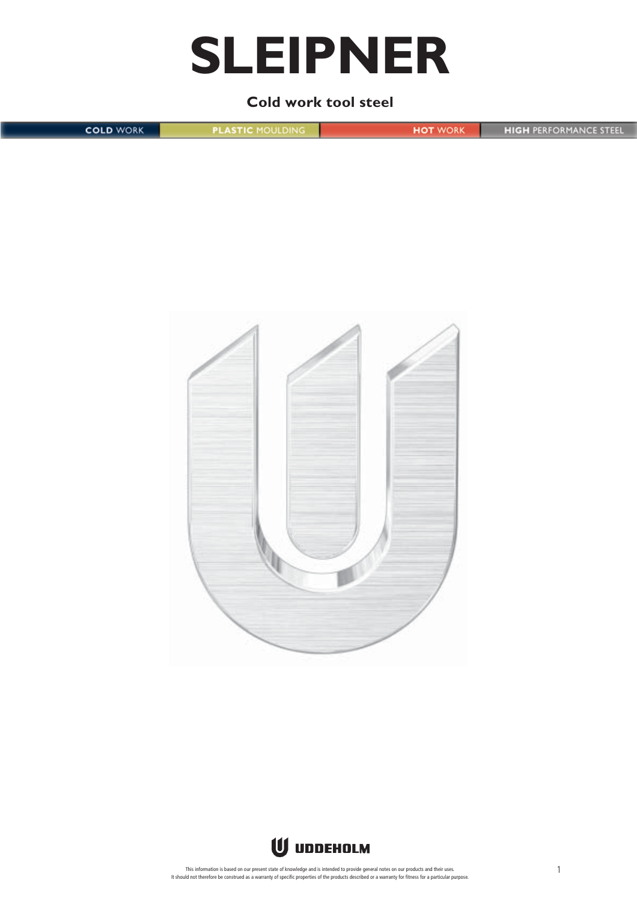# **SLEIPNER**

# **Cold work tool steel**

**COLD WORK PLASTIC MOULDING HOT WORK HIGH PERFORMANCE STEEL** 



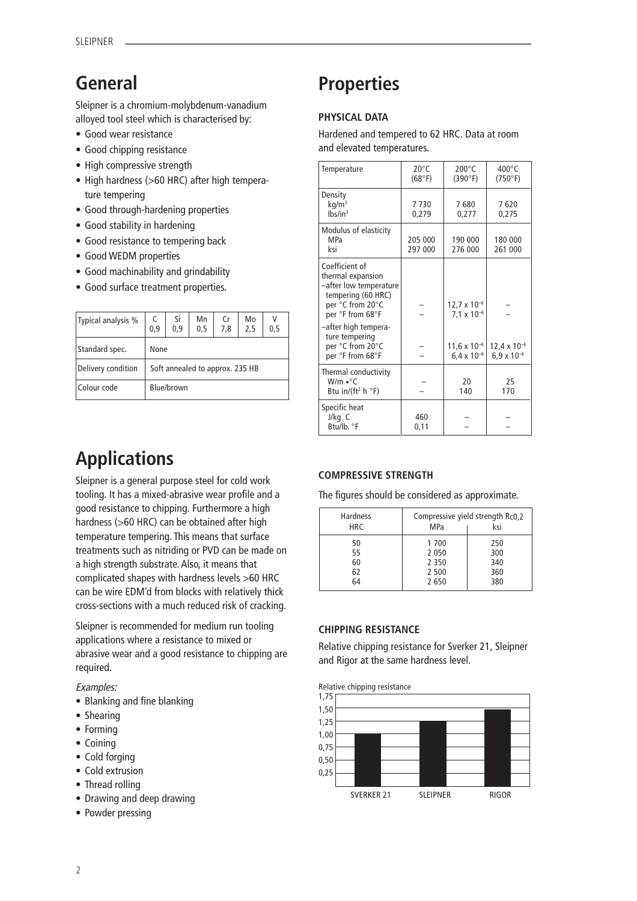# **General**

Sleipner is a chromium-molybdenum-vanadium alloyed tool steel which is characterised by:

- Good wear resistance
- Good chipping resistance
- High compressive strength
- High hardness (>60 HRC) after high temperature tempering
- Good through-hardening properties
- Good stability in hardening
- Good resistance to tempering back
- Good WEDM properties
- Good machinability and grindability
- Good surface treatment properties.

| Typical analysis % | 0,9        | Si<br>0.9 | Mn<br>0,5                       | Cr<br>7.8 | Mo<br>2,5 | 0,5 |
|--------------------|------------|-----------|---------------------------------|-----------|-----------|-----|
| Standard spec.     | None       |           |                                 |           |           |     |
| Delivery condition |            |           | Soft annealed to approx. 235 HB |           |           |     |
| Colour code        | Blue/brown |           |                                 |           |           |     |

# **Applications**

Sleipner is a general purpose steel for cold work tooling. It has a mixed-abrasive wear profile and a good resistance to chipping. Furthermore a high hardness (>60 HRC) can be obtained after high temperature tempering. This means that surface treatments such as nitriding or PVD can be made on a high strength substrate. Also, it means that complicated shapes with hardness levels >60 HRC can be wire EDM'd from blocks with relatively thick cross-sections with a much reduced risk of cracking.

Sleipner is recommended for medium run tooling applications where a resistance to mixed or abrasive wear and a good resistance to chipping are required.

Examples:

- Blanking and fine blanking
- Shearing
- Forming
- Coining
- Cold forging
- Cold extrusion
- Thread rolling
- Drawing and deep drawing
- Powder pressing

# **Properties**

# **PHYSICAL DATA**

Hardened and tempered to 62 HRC. Data at room and elevated temperatures.

| Temperature                                                                                                                                                           | $20^{\circ}$ C<br>(68°F) | $200^{\circ}$ C<br>(390°F)                    | $400^{\circ}$ C<br>(750°F)                    |
|-----------------------------------------------------------------------------------------------------------------------------------------------------------------------|--------------------------|-----------------------------------------------|-----------------------------------------------|
| Density<br>$kq/m^3$<br>lbs/in <sup>3</sup>                                                                                                                            | 7730<br>0,279            | 7680<br>0,277                                 | 7620<br>0,275                                 |
| Modulus of elasticity<br><b>MPa</b><br>ksi                                                                                                                            | 205 000<br>297 000       | 190 000<br>276 000                            | 180 000<br>261 000                            |
| Coefficient of<br>thermal expansion<br>-after low temperature<br>tempering (60 HRC)<br>per °C from 20°C<br>per °F from 68°F<br>-after high tempera-<br>ture tempering |                          | $12.7 \times 10^{-6}$<br>$7.1 \times 10^{-6}$ |                                               |
| per °C from 20°C<br>per °F from 68°F                                                                                                                                  |                          | $11,6 \times 10^{-6}$<br>$6.4 \times 10^{-6}$ | $12,4 \times 10^{-6}$<br>$6.9 \times 10^{-6}$ |
| Thermal conductivity<br>$W/m \cdot C$<br>Btu in/(ft <sup>2</sup> h $\degree$ F)                                                                                       |                          | 20<br>140                                     | 25<br>170                                     |
| Specific heat<br>J/kg C<br>Btu/lb. °F                                                                                                                                 | 460<br>0,11              |                                               |                                               |

# **COMPRESSIVE STRENGTH**

The figures should be considered as approximate.

| <b>Hardness</b><br><b>HRC</b> | MPa              | Compressive yield strength Rc0.2<br>ksi |
|-------------------------------|------------------|-----------------------------------------|
| 50<br>55                      | 1 700<br>2 0 5 0 | 250<br>300                              |
| 60                            | 2 3 5 0          | 340                                     |
| 62                            | 2 500            | 360                                     |
| 64                            | 2650             | 380                                     |

# **CHIPPING RESISTANCE**

Relative chipping resistance for Sverker 21, Sleipner and Rigor at the same hardness level.

Relative chipping resistance

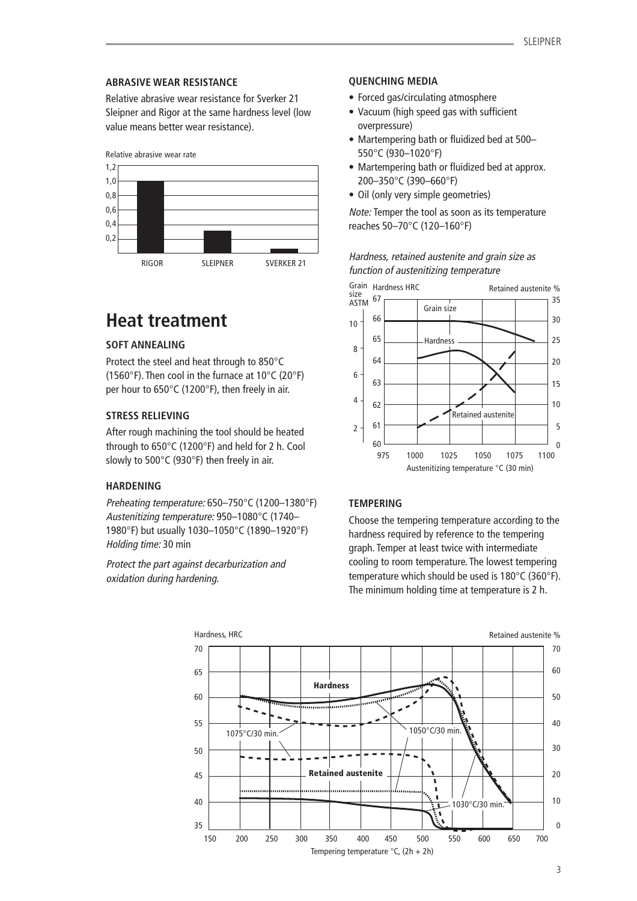### **ABRASIVE WEAR RESISTANCE**

Relative abrasive wear resistance for Sverker 21 Sleipner and Rigor at the same hardness level (low value means better wear resistance).



# **Heat treatment**

# **SOFT ANNEALING**

Protect the steel and heat through to 850°C (1560°F). Then cool in the furnace at 10°C (20°F) per hour to 650°C (1200°F), then freely in air.

# **STRESS RELIEVING**

After rough machining the tool should be heated through to 650°C (1200°F) and held for 2 h. Cool slowly to 500°C (930°F) then freely in air.

### **HARDENING**

Preheating temperature: 650–750°C (1200–1380°F) Austenitizing temperature: 950–1080°C (1740– 1980°F) but usually 1030–1050°C (1890–1920°F) Holding time: 30 min

Protect the part against decarburization and oxidation during hardening.

# **QUENCHING MEDIA**

- Forced gas/circulating atmosphere
- Vacuum (high speed gas with sufficient overpressure)
- Martempering bath or fluidized bed at 500– 550°C (930–1020°F)
- Martempering bath or fluidized bed at approx. 200–350°C (390–660°F)
- Oil (only very simple geometries)

Note: Temper the tool as soon as its temperature reaches 50–70°C (120–160°F)





# **TEMPERING**

Choose the tempering temperature according to the hardness required by reference to the tempering graph. Temper at least twice with intermediate cooling to room temperature. The lowest tempering temperature which should be used is 180°C (360°F). The minimum holding time at temperature is 2 h.

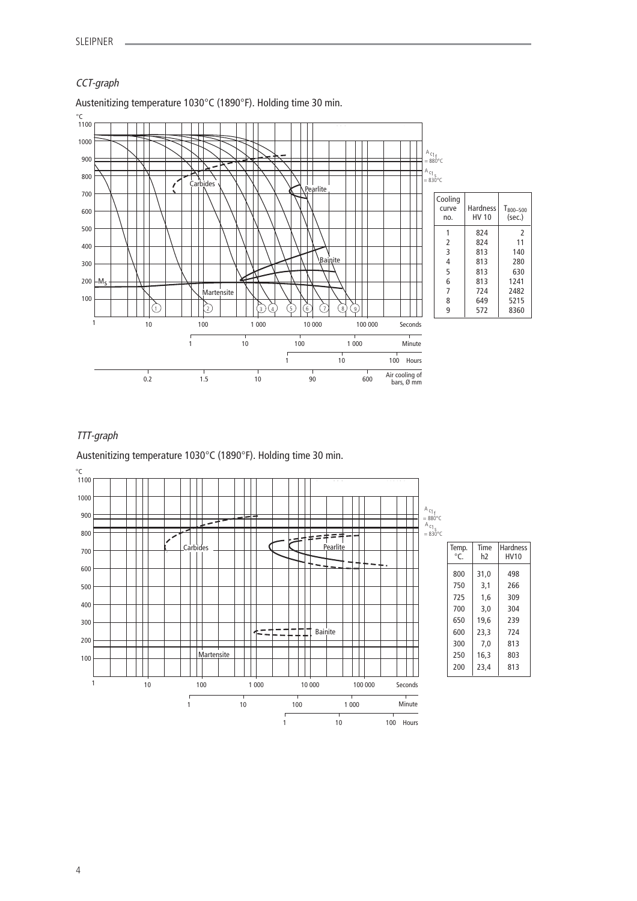# CCT-graph



Austenitizing temperature 1030°C (1890°F). Holding time 30 min.

# TTT-graph

Austenitizing temperature 1030°C (1890°F). Holding time 30 min.



| Temp.<br>$\circ$ C | Time<br>h2 | <b>Hardness</b><br>HV10 |
|--------------------|------------|-------------------------|
| 800                | 31.0       | 498                     |
| 750                | 3,1        | 266                     |
| 725                | 1.6        | 309                     |
| 700                | 3.0        | 304                     |
| 650                | 19.6       | 239                     |
| 600                | 23,3       | 724                     |
| 300                | 7,0        | 813                     |
| 250                | 16.3       | 803                     |
| 200                | 23,4       | 813                     |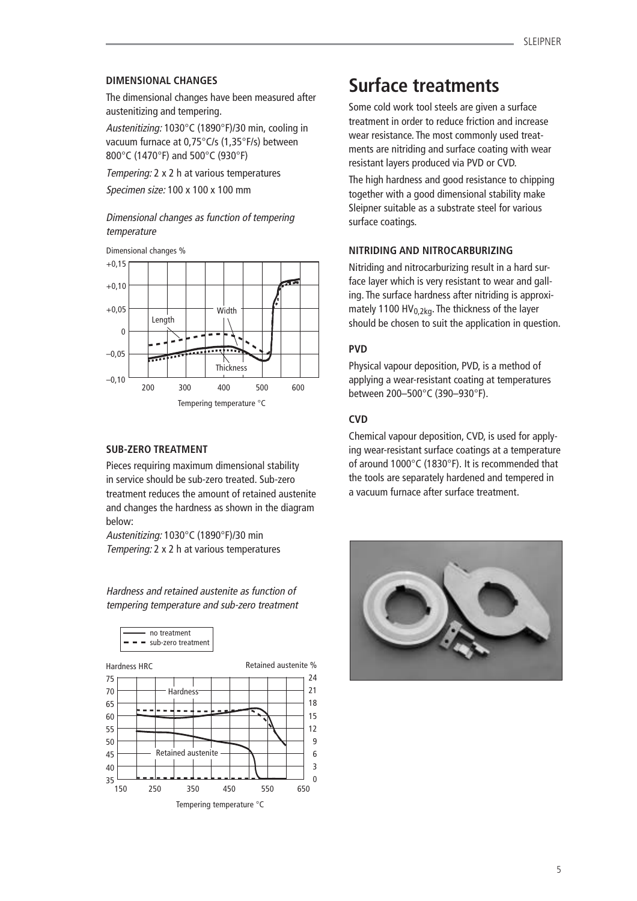# **DIMENSIONAL CHANGES**

The dimensional changes have been measured after austenitizing and tempering.

Austenitizing: 1030°C (1890°F)/30 min, cooling in vacuum furnace at 0,75°C/s (1,35°F/s) between 800°C (1470°F) and 500°C (930°F)

Tempering: 2 x 2 h at various temperatures Specimen size: 100 x 100 x 100 mm

# Dimensional changes as function of tempering temperature



### **SUB-ZERO TREATMENT**

Pieces requiring maximum dimensional stability in service should be sub-zero treated. Sub-zero treatment reduces the amount of retained austenite and changes the hardness as shown in the diagram below:

Austenitizing: 1030°C (1890°F)/30 min Tempering: 2 x 2 h at various temperatures

Hardness and retained austenite as function of tempering temperature and sub-zero treatment





# **Surface treatments**

Some cold work tool steels are given a surface treatment in order to reduce friction and increase wear resistance. The most commonly used treatments are nitriding and surface coating with wear resistant layers produced via PVD or CVD.

The high hardness and good resistance to chipping together with a good dimensional stability make Sleipner suitable as a substrate steel for various surface coatings.

### **NITRIDING AND NITROCARBURIZING**

Nitriding and nitrocarburizing result in a hard surface layer which is very resistant to wear and galling. The surface hardness after nitriding is approximately 1100 HV $_{0,2kq}$ . The thickness of the layer should be chosen to suit the application in question.

# **PVD**

Physical vapour deposition, PVD, is a method of applying a wear-resistant coating at temperatures between 200–500°C (390–930°F).

# **CVD**

Chemical vapour deposition, CVD, is used for applying wear-resistant surface coatings at a temperature of around 1000°C (1830°F). It is recommended that the tools are separately hardened and tempered in a vacuum furnace after surface treatment.

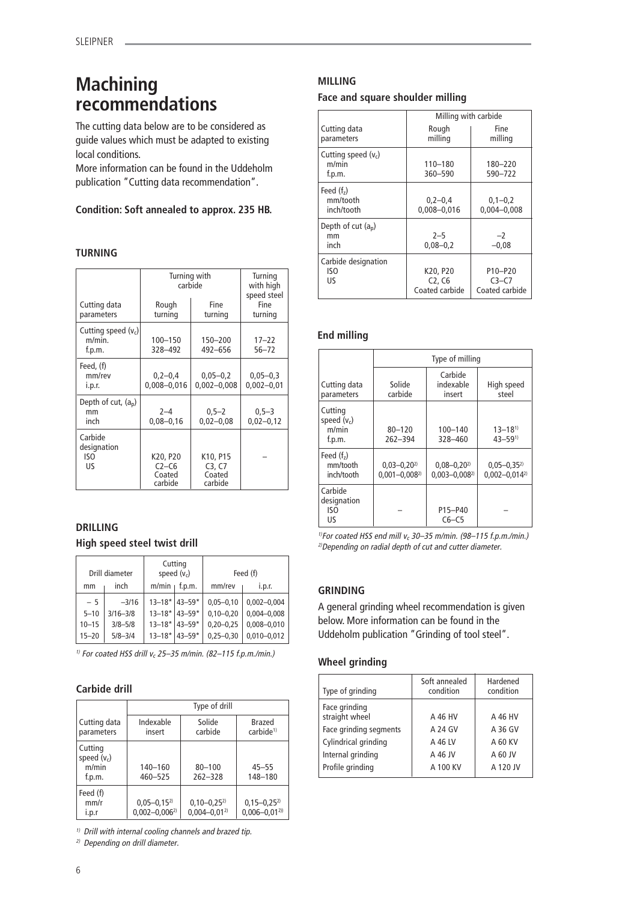# **Machining recommendations**

The cutting data below are to be considered as guide values which must be adapted to existing local conditions.

More information can be found in the Uddeholm publication "Cutting data recommendation".

# **Condition: Soft annealed to approx. 235 HB.**

# **TURNING**

|                                           | Turning with<br>carbide                  |                                         | Turning<br>with high<br>speed steel |
|-------------------------------------------|------------------------------------------|-----------------------------------------|-------------------------------------|
| Cutting data<br>parameters                | Rough<br>turning                         | Fine<br>turning                         | Fine<br>turning                     |
| Cutting speed $(v_c)$<br>m/min.<br>f.p.m. | 100-150<br>328-492                       | 150-200<br>492-656                      | $17 - 22$<br>$56 - 72$              |
| Feed, (f)<br>mm/rev<br>i.p.r.             | $0,2-0,4$<br>$0,008 - 0,016$             | $0,05 - 0,2$<br>$0,002 - 0,008$         | $0,05 - 0,3$<br>$0,002 - 0,01$      |
| Depth of cut, $(a_n)$<br>mm<br>inch       | $2 - 4$<br>$0,08 - 0,16$                 | $0,5-2$<br>$0,02 - 0,08$                | $0,5-3$<br>$0,02 - 0,12$            |
| Carbide<br>designation<br>ISO<br>US       | K20, P20<br>$C2-C6$<br>Coated<br>carbide | K10, P15<br>C3, C7<br>Coated<br>carbide |                                     |

# **DRILLING**

# **High speed steel twist drill**

|           | Drill diameter |       | Cutting<br>speed $(v_c)$                  |               | Feed (f)        |
|-----------|----------------|-------|-------------------------------------------|---------------|-----------------|
| mm        | inch           | m/min | f.p.m.                                    | mm/rev        | i.p.r.          |
| $-5$      | $-3/16$        |       | $13 - 18*$ 43-59*                         | $0,05 - 0,10$ | $0,002 - 0,004$ |
| $5 - 10$  | $3/16 - 3/8$   |       | $13 - 18$ <sup>*</sup> 43-59 <sup>*</sup> | $0,10 - 0,20$ | $0.004 - 0.008$ |
| $10 - 15$ | $3/8 - 5/8$    |       | $13 - 18$ <sup>*</sup> 43-59 <sup>*</sup> | $0,20 - 0,25$ | $0,008 - 0,010$ |
| $15 - 20$ | $5/8 - 3/4$    |       | $13 - 18$ <sup>*</sup> 43-59 <sup>*</sup> | $0,25 - 0,30$ | $0.010 - 0.012$ |

<sup>1)</sup> For coated HSS drill  $v_c$  25–35 m/min. (82–115 f.p.m./min.)

# **Carbide drill**

|                                             |                                          | Type of drill                         |                                        |
|---------------------------------------------|------------------------------------------|---------------------------------------|----------------------------------------|
| Cutting data<br>parameters                  | Indexable<br>insert                      | Solide<br>carbide                     | Brazed<br>carbide <sup>1)</sup>        |
| Cutting<br>speed $(v_c)$<br>m/min<br>f.p.m. | 140-160<br>460-525                       | $80 - 100$<br>$262 - 328$             | $45 - 55$<br>148-180                   |
| Feed (f)<br>mm/r<br>i.p.r                   | $0,05 - 0,15^{2}$<br>$0.002 - 0.006^{2}$ | $0,10-0,25^{2}$<br>$0.004 - 0.01^{2}$ | $0,15-0,25^{2}$<br>$0.006 - 0.01^{20}$ |

 $1)$  Drill with internal cooling channels and brazed tip.

2) Depending on drill diameter.

# **MILLING**

# **Face and square shoulder milling**

|                                          | Milling with carbide                                          |                                      |
|------------------------------------------|---------------------------------------------------------------|--------------------------------------|
| Cutting data<br>parameters               | Rough<br>milling                                              | Fine<br>milling                      |
| Cutting speed $(v_c)$<br>m/min<br>f.p.m. | $110 - 180$<br>360-590                                        | 180-220<br>590-722                   |
| Feed $(fz)$<br>mm/tooth<br>inch/tooth    | $0,2-0,4$<br>$0,008 - 0,016$                                  | $0,1-0,2$<br>$0.004 - 0.008$         |
| Depth of cut $(a_n)$<br>mm<br>inch       | $2 - 5$<br>$0.08 - 0.2$                                       | $-2$<br>$-0.08$                      |
| Carbide designation<br>ISO<br>US         | K20, P20<br>C <sub>2</sub> , C <sub>6</sub><br>Coated carbide | P10-P20<br>$C3-C7$<br>Coated carbide |

# **End milling**

|                                             | Type of milling                       |                                       |                                          |
|---------------------------------------------|---------------------------------------|---------------------------------------|------------------------------------------|
| Cutting data<br>parameters                  | Solide<br>carbide                     | Carbide<br>indexable<br>insert        | High speed<br>steel                      |
| Cutting<br>speed $(v_c)$<br>m/min<br>f.p.m. | $80 - 120$<br>$262 - 394$             | $100 - 140$<br>328-460                | $13 - 18^{1}$<br>$43 - 591$              |
| Feed $(fz)$<br>mm/tooth<br>inch/tooth       | $0,03 - 0,202$<br>$0.001 - 0.008^{2}$ | $0,08 - 0,202$<br>$0.003 - 0.008^{2}$ | $0,05 - 0,35^{2}$<br>$0.002 - 0.014^{2}$ |
| Carbide<br>designation<br>ISO<br>US         |                                       | P15-P40<br>$C6-C5$                    |                                          |

<sup>1)</sup>For coated HSS end mill  $v_c$  30–35 m/min. (98–115 f.p.m./min.) 2)Depending on radial depth of cut and cutter diameter.

# **GRINDING**

A general grinding wheel recommendation is given below. More information can be found in the Uddeholm publication "Grinding of tool steel".

# **Wheel grinding**

| Type of grinding                | Soft annealed<br>condition | Hardened<br>condition |
|---------------------------------|----------------------------|-----------------------|
| Face grinding<br>straight wheel | A 46 HV                    | A 46 HV               |
| Face grinding segments          | A 24 GV                    | A 36 GV               |
| Cylindrical grinding            | A 46 LV                    | A 60 KV               |
| Internal grinding               | A 46 JV                    | A 60 JV               |
| Profile grinding                | A 100 KV                   | A 120 JV              |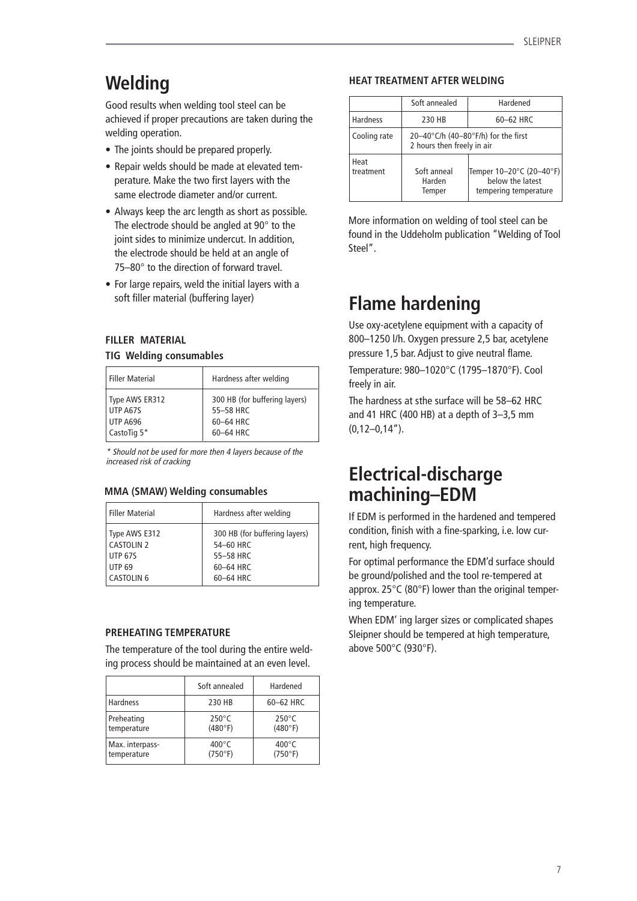# **Welding**

Good results when welding tool steel can be achieved if proper precautions are taken during the welding operation.

- The joints should be prepared properly.
- Repair welds should be made at elevated temperature. Make the two first layers with the same electrode diameter and/or current.
- Always keep the arc length as short as possible. The electrode should be angled at 90° to the joint sides to minimize undercut. In addition, the electrode should be held at an angle of 75–80° to the direction of forward travel.
- For large repairs, weld the initial layers with a soft filler material (buffering layer)

# **FILLER MATERIAL**

## **TIG Welding consumables**

| <b>Filler Material</b> | Hardness after welding        |
|------------------------|-------------------------------|
| Type AWS ER312         | 300 HB (for buffering layers) |
| UTP A67S               | 55-58 HRC                     |
| <b>UTP A696</b>        | 60-64 HRC                     |
| CastoTig 5*            | 60-64 HRC                     |

\* Should not be used for more then 4 layers because of the increased risk of cracking

### **MMA (SMAW) Welding consumables**

| <b>Filler Material</b> | Hardness after welding        |
|------------------------|-------------------------------|
| Type AWS E312          | 300 HB (for buffering layers) |
| <b>CASTOLIN 2</b>      | 54-60 HRC                     |
| <b>UTP 67S</b>         | 55-58 HRC                     |
| <b>UTP 69</b>          | 60-64 HRC                     |
| <b>CASTOLIN 6</b>      | 60-64 HRC                     |

### **PREHEATING TEMPERATURE**

The temperature of the tool during the entire welding process should be maintained at an even level.

|                 | Soft annealed   | Hardened        |
|-----------------|-----------------|-----------------|
| Hardness        | 230 HB          | 60-62 HRC       |
| Preheating      | $250^{\circ}$ C | $250^{\circ}$ C |
| temperature     | (480°F)         | (480°F)         |
| Max. interpass- | $400^{\circ}$ C | $400^{\circ}$ C |
| temperature     | (750°F)         | (750°F)         |

# **HEAT TREATMENT AFTER WELDING**

|                   | Soft annealed                                                     | Hardened                                                              |  |  |  |
|-------------------|-------------------------------------------------------------------|-----------------------------------------------------------------------|--|--|--|
| <b>Hardness</b>   | 230 HB                                                            | 60-62 HRC                                                             |  |  |  |
| Cooling rate      | 20-40°C/h (40-80°F/h) for the first<br>2 hours then freely in air |                                                                       |  |  |  |
| Heat<br>treatment | Soft anneal<br>Harden<br>Temper                                   | Temper 10-20°C (20-40°F)<br>below the latest<br>tempering temperature |  |  |  |

More information on welding of tool steel can be found in the Uddeholm publication "Welding of Tool Steel".

# **Flame hardening**

Use oxy-acetylene equipment with a capacity of 800–1250 l/h. Oxygen pressure 2,5 bar, acetylene pressure 1,5 bar. Adjust to give neutral flame. Temperature: 980–1020°C (1795–1870°F). Cool freely in air.

The hardness at sthe surface will be 58–62 HRC and 41 HRC (400 HB) at a depth of 3–3,5 mm  $(0,12-0,14")$ .

# **Electrical-discharge machining–EDM**

If EDM is performed in the hardened and tempered condition, finish with a fine-sparking, i.e. low current, high frequency.

For optimal performance the EDM'd surface should be ground/polished and the tool re-tempered at approx. 25°C (80°F) lower than the original tempering temperature.

When EDM' ing larger sizes or complicated shapes Sleipner should be tempered at high temperature, above 500°C (930°F).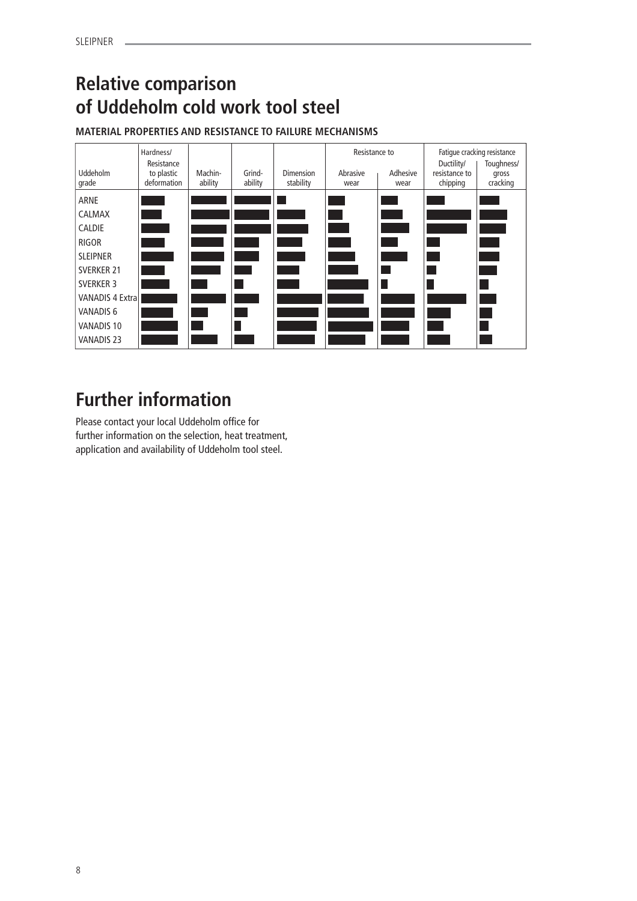# **Relative comparison of Uddeholm cold work tool steel**

# **MATERIAL PROPERTIES AND RESISTANCE TO FAILURE MECHANISMS**

|                          | Hardness/<br>Resistance   |                    |                   |                               | Resistance to    |                        | Fatique cracking resistance<br>Toughness/<br>Ductility/ |                   |
|--------------------------|---------------------------|--------------------|-------------------|-------------------------------|------------------|------------------------|---------------------------------------------------------|-------------------|
| <b>Uddeholm</b><br>grade | to plastic<br>deformation | Machin-<br>ability | Grind-<br>ability | <b>Dimension</b><br>stability | Abrasive<br>wear | Adhesive<br>wear       | resistance to<br>chipping                               | gross<br>cracking |
| ARNE                     |                           |                    |                   |                               |                  |                        |                                                         |                   |
| CALMAX                   |                           |                    |                   |                               |                  | <b>Service Service</b> |                                                         |                   |
| <b>CALDIE</b>            |                           |                    |                   |                               |                  |                        |                                                         |                   |
| <b>RIGOR</b>             |                           |                    |                   |                               |                  |                        |                                                         |                   |
| <b>SLEIPNER</b>          |                           |                    |                   |                               |                  |                        |                                                         |                   |
| <b>SVERKER 21</b>        |                           |                    |                   |                               |                  |                        |                                                         |                   |
| <b>SVERKER 3</b>         |                           |                    |                   |                               |                  |                        |                                                         |                   |
| <b>VANADIS 4 Extral</b>  |                           |                    |                   |                               |                  |                        |                                                         |                   |
| <b>VANADIS 6</b>         |                           |                    |                   |                               |                  |                        |                                                         |                   |
| VANADIS 10               |                           |                    |                   |                               |                  |                        |                                                         |                   |
| <b>VANADIS 23</b>        |                           |                    |                   |                               |                  |                        |                                                         |                   |

# **Further information**

Please contact your local Uddeholm office for further information on the selection, heat treatment, application and availability of Uddeholm tool steel.